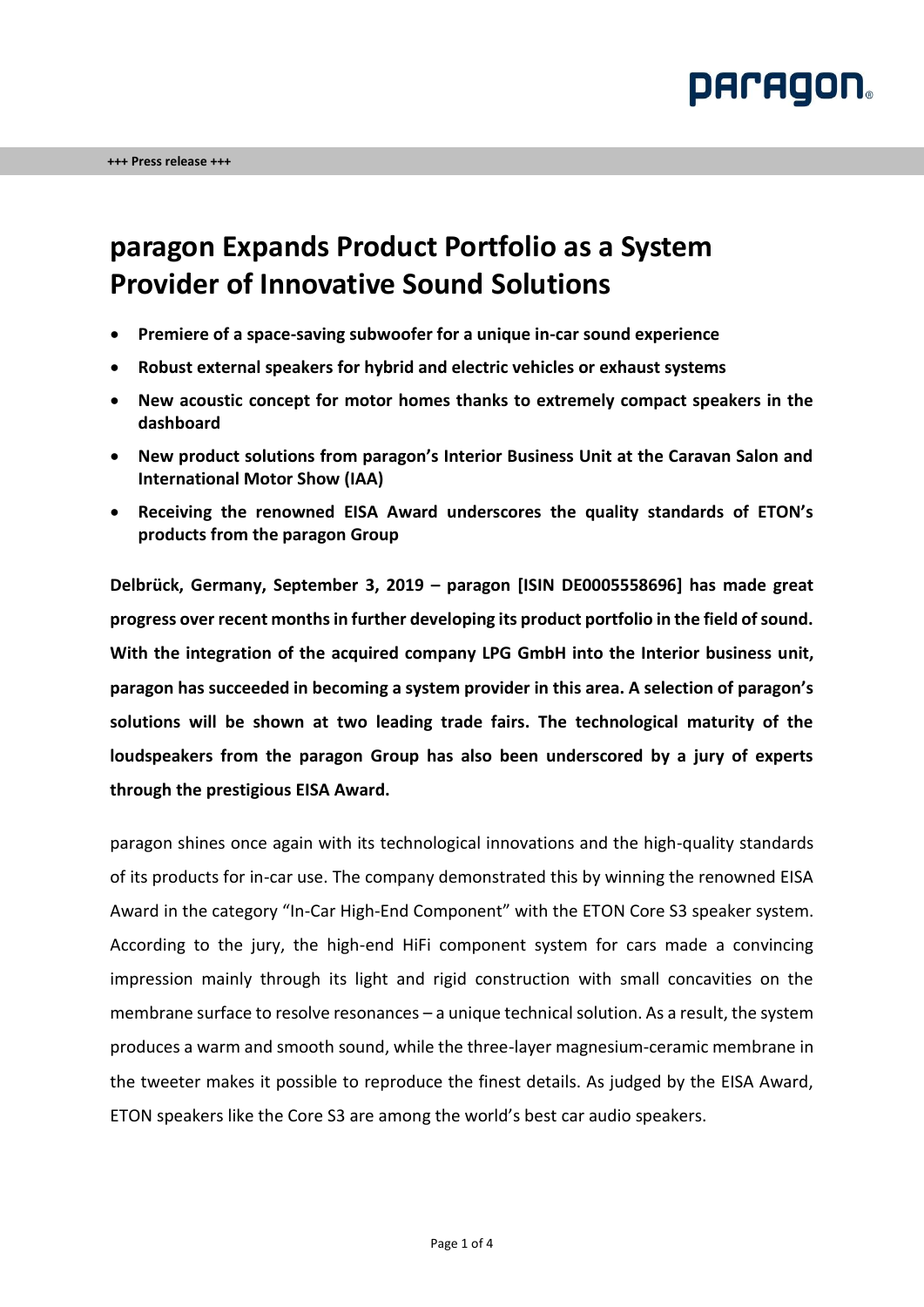

## **paragon Expands Product Portfolio as a System Provider of Innovative Sound Solutions**

- **Premiere of a space-saving subwoofer for a unique in-car sound experience**
- **Robust external speakers for hybrid and electric vehicles or exhaust systems**
- **New acoustic concept for motor homes thanks to extremely compact speakers in the dashboard**
- **New product solutions from paragon's Interior Business Unit at the Caravan Salon and International Motor Show (IAA)**
- **Receiving the renowned EISA Award underscores the quality standards of ETON's products from the paragon Group**

**Delbrück, Germany, September 3, 2019 – paragon [ISIN DE0005558696] has made great progress over recent months in further developing its product portfolio in the field of sound. With the integration of the acquired company LPG GmbH into the Interior business unit, paragon has succeeded in becoming a system provider in this area. A selection of paragon's solutions will be shown at two leading trade fairs. The technological maturity of the loudspeakers from the paragon Group has also been underscored by a jury of experts through the prestigious EISA Award.**

paragon shines once again with its technological innovations and the high-quality standards of its products for in-car use. The company demonstrated this by winning the renowned EISA Award in the category "In-Car High-End Component" with the ETON Core S3 speaker system. According to the jury, the high-end HiFi component system for cars made a convincing impression mainly through its light and rigid construction with small concavities on the membrane surface to resolve resonances – a unique technical solution. As a result, the system produces a warm and smooth sound, while the three-layer magnesium-ceramic membrane in the tweeter makes it possible to reproduce the finest details. As judged by the EISA Award, ETON speakers like the Core S3 are among the world's best car audio speakers.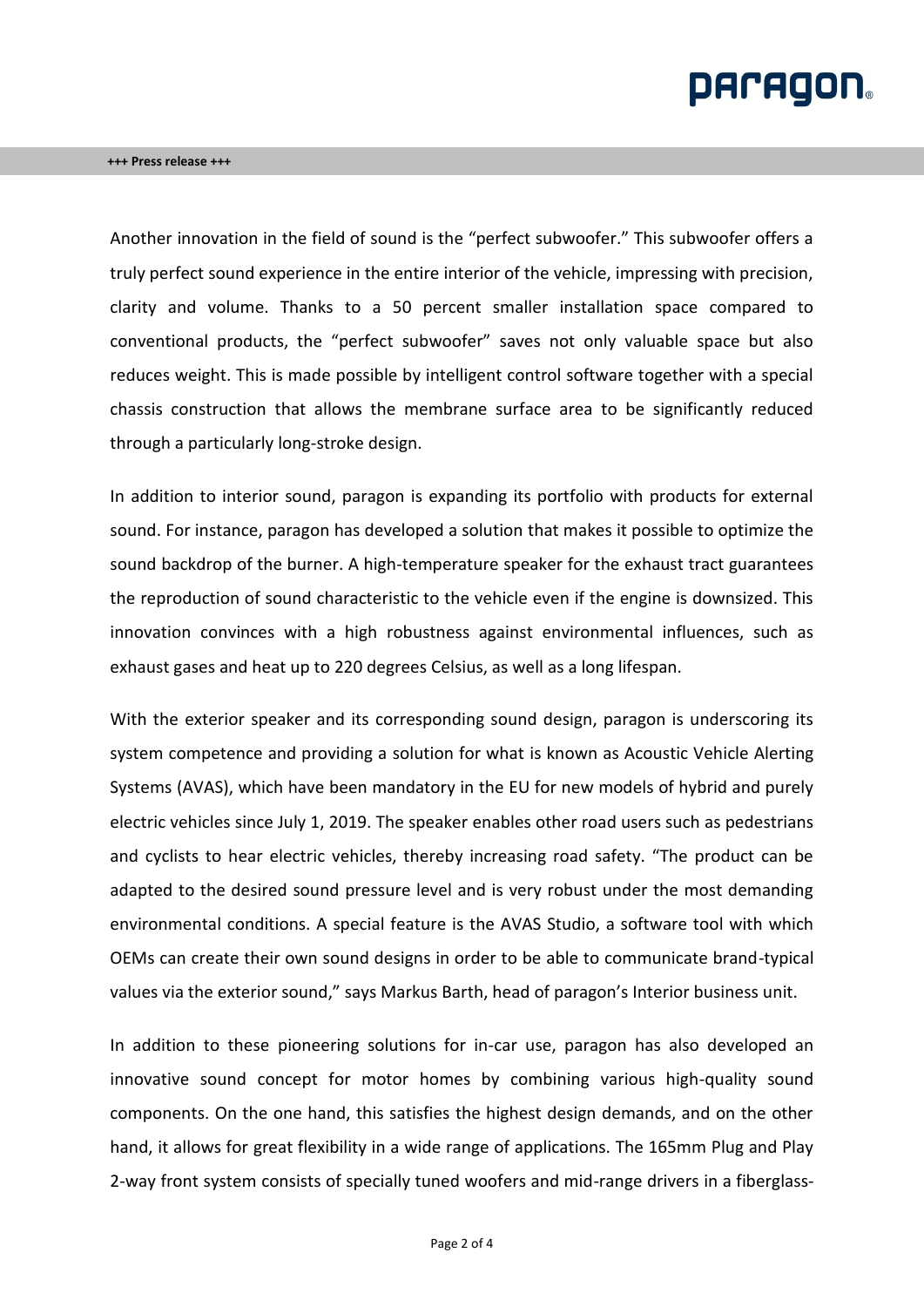# **PACAGON**

### **+++ Press release +++**

Another innovation in the field of sound is the "perfect subwoofer." This subwoofer offers a truly perfect sound experience in the entire interior of the vehicle, impressing with precision, clarity and volume. Thanks to a 50 percent smaller installation space compared to conventional products, the "perfect subwoofer" saves not only valuable space but also reduces weight. This is made possible by intelligent control software together with a special chassis construction that allows the membrane surface area to be significantly reduced through a particularly long-stroke design.

In addition to interior sound, paragon is expanding its portfolio with products for external sound. For instance, paragon has developed a solution that makes it possible to optimize the sound backdrop of the burner. A high-temperature speaker for the exhaust tract guarantees the reproduction of sound characteristic to the vehicle even if the engine is downsized. This innovation convinces with a high robustness against environmental influences, such as exhaust gases and heat up to 220 degrees Celsius, as well as a long lifespan.

With the exterior speaker and its corresponding sound design, paragon is underscoring its system competence and providing a solution for what is known as Acoustic Vehicle Alerting Systems (AVAS), which have been mandatory in the EU for new models of hybrid and purely electric vehicles since July 1, 2019. The speaker enables other road users such as pedestrians and cyclists to hear electric vehicles, thereby increasing road safety. "The product can be adapted to the desired sound pressure level and is very robust under the most demanding environmental conditions. A special feature is the AVAS Studio, a software tool with which OEMs can create their own sound designs in order to be able to communicate brand-typical values via the exterior sound," says Markus Barth, head of paragon's Interior business unit.

In addition to these pioneering solutions for in-car use, paragon has also developed an innovative sound concept for motor homes by combining various high-quality sound components. On the one hand, this satisfies the highest design demands, and on the other hand, it allows for great flexibility in a wide range of applications. The 165mm Plug and Play 2-way front system consists of specially tuned woofers and mid-range drivers in a fiberglass-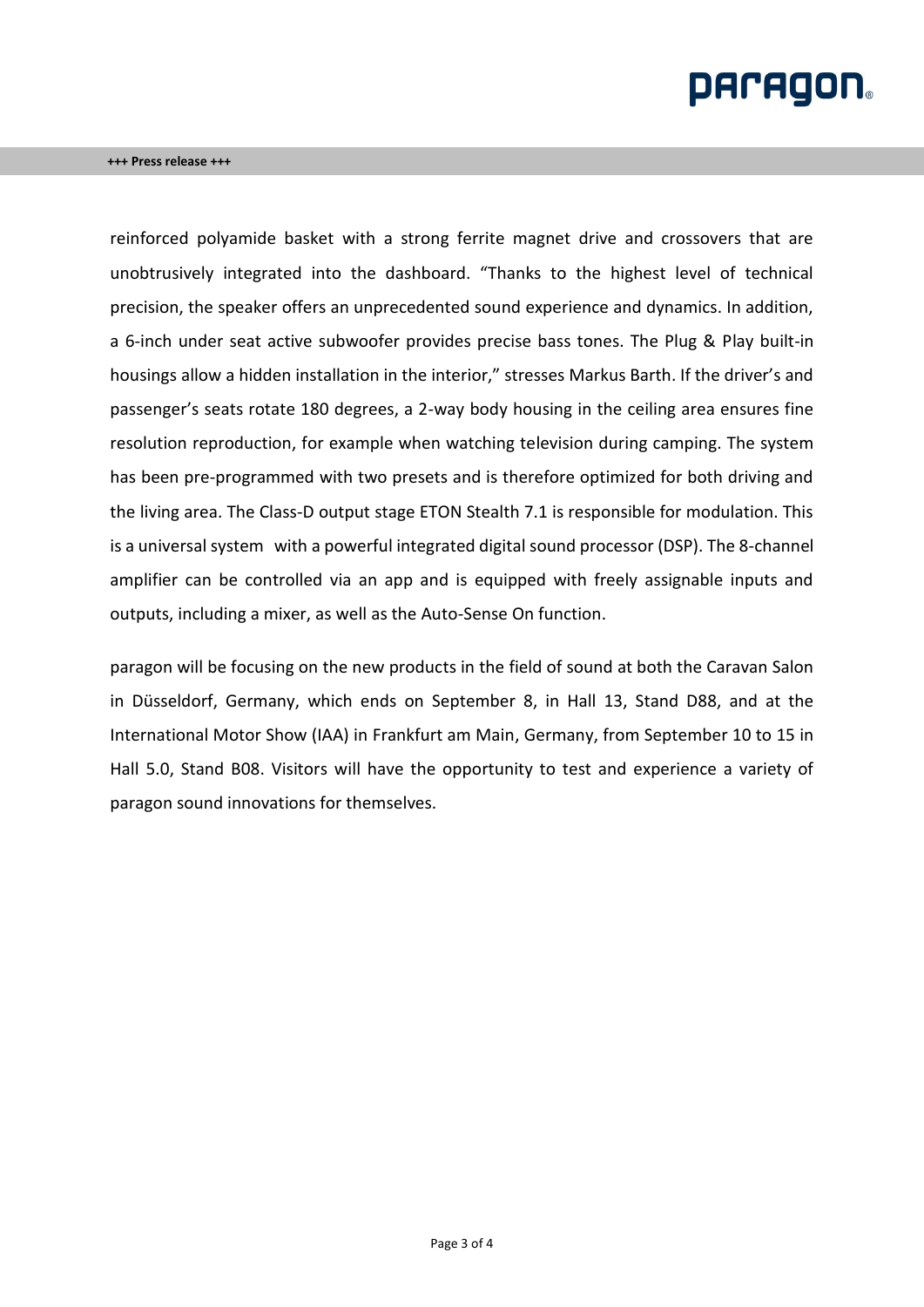# **PACAGON**

reinforced polyamide basket with a strong ferrite magnet drive and crossovers that are unobtrusively integrated into the dashboard. "Thanks to the highest level of technical precision, the speaker offers an unprecedented sound experience and dynamics. In addition, a 6-inch under seat active subwoofer provides precise bass tones. The Plug & Play built-in housings allow a hidden installation in the interior," stresses Markus Barth. If the driver's and passenger's seats rotate 180 degrees, a 2-way body housing in the ceiling area ensures fine resolution reproduction, for example when watching television during camping. The system has been pre-programmed with two presets and is therefore optimized for both driving and the living area. The Class-D output stage ETON Stealth 7.1 is responsible for modulation. This is a universal system with a powerful integrated digital sound processor (DSP). The 8-channel amplifier can be controlled via an app and is equipped with freely assignable inputs and outputs, including a mixer, as well as the Auto-Sense On function.

paragon will be focusing on the new products in the field of sound at both the Caravan Salon in Düsseldorf, Germany, which ends on September 8, in Hall 13, Stand D88, and at the International Motor Show (IAA) in Frankfurt am Main, Germany, from September 10 to 15 in Hall 5.0, Stand B08. Visitors will have the opportunity to test and experience a variety of paragon sound innovations for themselves.